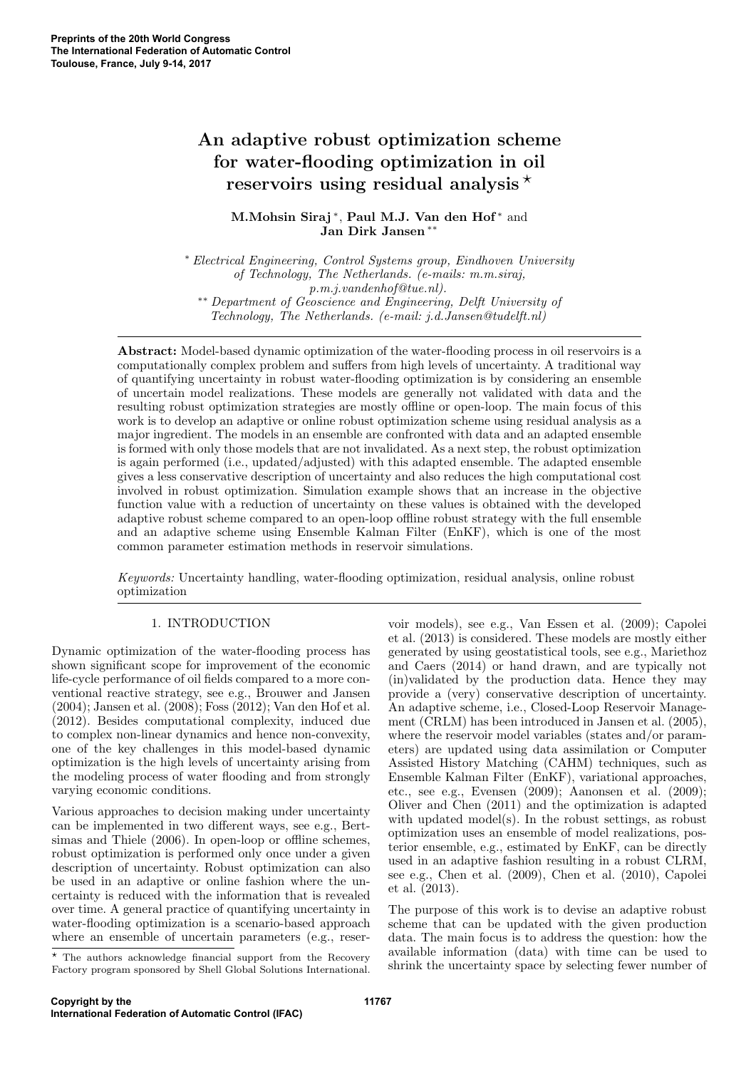# An adaptive robust optimization scheme for water-flooding optimization in oil reservoirs using residual analysis  $\star$

M.Mohsin Siraj\*, Paul M.J. Van den Hof\* and Jan Dirk Jansen ∗∗

<sup>∗</sup> Electrical Engineering, Control Systems group, Eindhoven University of Technology, The Netherlands. (e-mails: m.m.siraj, p.m.j.vandenhof@tue.nl). ∗∗ Department of Geoscience and Engineering, Delft University of Technology, The Netherlands. (e-mail: j.d.Jansen@tudelft.nl)

Abstract: Model-based dynamic optimization of the water-flooding process in oil reservoirs is a computationally complex problem and suffers from high levels of uncertainty. A traditional way of quantifying uncertainty in robust water-flooding optimization is by considering an ensemble of uncertain model realizations. These models are generally not validated with data and the resulting robust optimization strategies are mostly offline or open-loop. The main focus of this work is to develop an adaptive or online robust optimization scheme using residual analysis as a major ingredient. The models in an ensemble are confronted with data and an adapted ensemble is formed with only those models that are not invalidated. As a next step, the robust optimization is again performed (i.e., updated/adjusted) with this adapted ensemble. The adapted ensemble gives a less conservative description of uncertainty and also reduces the high computational cost involved in robust optimization. Simulation example shows that an increase in the objective function value with a reduction of uncertainty on these values is obtained with the developed adaptive robust scheme compared to an open-loop offline robust strategy with the full ensemble and an adaptive scheme using Ensemble Kalman Filter (EnKF), which is one of the most common parameter estimation methods in reservoir simulations.

Keywords: Uncertainty handling, water-flooding optimization, residual analysis, online robust optimization

# 1. INTRODUCTION

Dynamic optimization of the water-flooding process has shown significant scope for improvement of the economic life-cycle performance of oil fields compared to a more conventional reactive strategy, see e.g., Brouwer and Jansen (2004); Jansen et al. (2008); Foss (2012); Van den Hof et al. (2012). Besides computational complexity, induced due to complex non-linear dynamics and hence non-convexity, one of the key challenges in this model-based dynamic optimization is the high levels of uncertainty arising from the modeling process of water flooding and from strongly varying economic conditions.

Various approaches to decision making under uncertainty can be implemented in two different ways, see e.g., Bertsimas and Thiele (2006). In open-loop or offline schemes, robust optimization is performed only once under a given description of uncertainty. Robust optimization can also be used in an adaptive or online fashion where the uncertainty is reduced with the information that is revealed over time. A general practice of quantifying uncertainty in water-flooding optimization is a scenario-based approach where an ensemble of uncertain parameters (e.g., reser-

\* The authors acknowledge financial support from the Recovery Factory program sponsored by Shell Global Solutions International. voir models), see e.g., Van Essen et al. (2009); Capolei et al. (2013) is considered. These models are mostly either generated by using geostatistical tools, see e.g., Mariethoz and Caers (2014) or hand drawn, and are typically not (in)validated by the production data. Hence they may provide a (very) conservative description of uncertainty. An adaptive scheme, i.e., Closed-Loop Reservoir Management (CRLM) has been introduced in Jansen et al. (2005), where the reservoir model variables (states and/or parameters) are updated using data assimilation or Computer Assisted History Matching (CAHM) techniques, such as Ensemble Kalman Filter (EnKF), variational approaches, etc., see e.g., Evensen (2009); Aanonsen et al. (2009); Oliver and Chen (2011) and the optimization is adapted with updated model(s). In the robust settings, as robust optimization uses an ensemble of model realizations, posterior ensemble, e.g., estimated by EnKF, can be directly used in an adaptive fashion resulting in a robust CLRM, see e.g., Chen et al. (2009), Chen et al. (2010), Capolei et al. (2013).

The purpose of this work is to devise an adaptive robust scheme that can be updated with the given production data. The main focus is to address the question: how the available information (data) with time can be used to shrink the uncertainty space by selecting fewer number of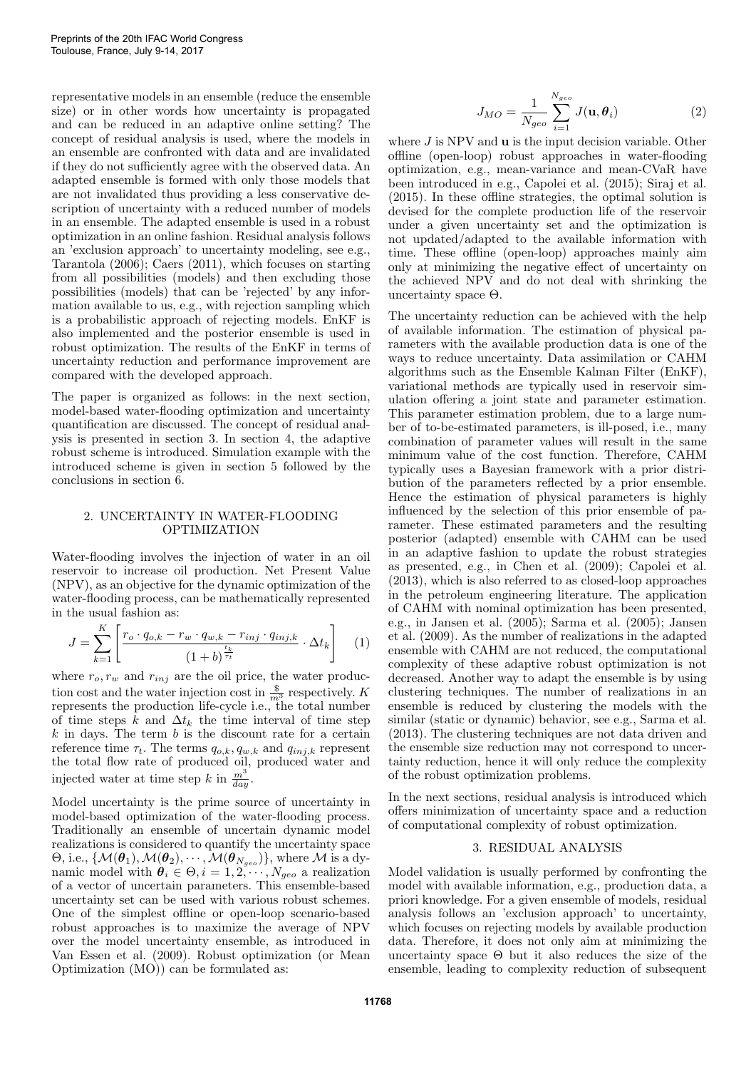representative models in an ensemble (reduce the ensemble size) or in other words how uncertainty is propagated and can be reduced in an adaptive online setting? The concept of residual analysis is used, where the models in an ensemble are confronted with data and are invalidated if they do not sufficiently agree with the observed data. An adapted ensemble is formed with only those models that are not invalidated thus providing a less conservative description of uncertainty with a reduced number of models in an ensemble. The adapted ensemble is used in a robust optimization in an online fashion. Residual analysis follows an 'exclusion approach' to uncertainty modeling, see e.g., Tarantola (2006); Caers (2011), which focuses on starting from all possibilities (models) and then excluding those possibilities (models) that can be 'rejected' by any information available to us, e.g., with rejection sampling which is a probabilistic approach of rejecting models. EnKF is also implemented and the posterior ensemble is used in robust optimization. The results of the EnKF in terms of uncertainty reduction and performance improvement are compared with the developed approach.

The paper is organized as follows: in the next section, model-based water-flooding optimization and uncertainty quantification are discussed. The concept of residual analysis is presented in section 3. In section 4, the adaptive robust scheme is introduced. Simulation example with the introduced scheme is given in section 5 followed by the conclusions in section 6.

### 2. UNCERTAINTY IN WATER-FLOODING OPTIMIZATION

Water-flooding involves the injection of water in an oil reservoir to increase oil production. Net Present Value (NPV), as an objective for the dynamic optimization of the water-flooding process, can be mathematically represented in the usual fashion as:

$$
J = \sum_{k=1}^{K} \left[ \frac{r_o \cdot q_{o,k} - r_w \cdot q_{w,k} - r_{inj} \cdot q_{inj,k}}{\left(1 + b\right)^{\frac{t_k}{\tau_t}}} \cdot \Delta t_k \right] \quad (1)
$$

where  $r_o, r_w$  and  $r_{inj}$  are the oil price, the water production cost and the water injection cost in  $\frac{1}{m^3}$  respectively. K represents the production life-cycle i.e., the total number of time steps k and  $\Delta t_k$  the time interval of time step  $k$  in days. The term  $b$  is the discount rate for a certain reference time  $\tau_t$ . The terms  $q_{o,k}, q_{w,k}$  and  $q_{inj,k}$  represent the total flow rate of produced oil, produced water and injected water at time step k in  $\frac{m^3}{day}$ .

Model uncertainty is the prime source of uncertainty in model-based optimization of the water-flooding process. Traditionally an ensemble of uncertain dynamic model realizations is considered to quantify the uncertainty space  $\Theta$ , i.e.,  $\{\mathcal{M}(\bm{\theta}_1), \mathcal{M}(\bm{\theta}_2), \cdots, \mathcal{M}(\bm{\theta}_{N_{geo}})\},$  where  $\mathcal M$  is a dynamic model with  $\theta_i \in \Theta, i = 1, 2, \dots, N_{geo}$  a realization of a vector of uncertain parameters. This ensemble-based uncertainty set can be used with various robust schemes. One of the simplest offline or open-loop scenario-based robust approaches is to maximize the average of NPV over the model uncertainty ensemble, as introduced in Van Essen et al. (2009). Robust optimization (or Mean Optimization (MO)) can be formulated as:

$$
J_{MO} = \frac{1}{N_{geo}} \sum_{i=1}^{N_{geo}} J(\mathbf{u}, \theta_i)
$$
 (2)

where  $J$  is NPV and  $\bf{u}$  is the input decision variable. Other offline (open-loop) robust approaches in water-flooding optimization, e.g., mean-variance and mean-CVaR have been introduced in e.g., Capolei et al. (2015); Siraj et al. (2015). In these offline strategies, the optimal solution is devised for the complete production life of the reservoir under a given uncertainty set and the optimization is not updated/adapted to the available information with time. These offline (open-loop) approaches mainly aim only at minimizing the negative effect of uncertainty on the achieved NPV and do not deal with shrinking the uncertainty space  $Θ$ .

The uncertainty reduction can be achieved with the help of available information. The estimation of physical parameters with the available production data is one of the ways to reduce uncertainty. Data assimilation or CAHM algorithms such as the Ensemble Kalman Filter (EnKF), variational methods are typically used in reservoir simulation offering a joint state and parameter estimation. This parameter estimation problem, due to a large number of to-be-estimated parameters, is ill-posed, i.e., many combination of parameter values will result in the same minimum value of the cost function. Therefore, CAHM typically uses a Bayesian framework with a prior distribution of the parameters reflected by a prior ensemble. Hence the estimation of physical parameters is highly influenced by the selection of this prior ensemble of parameter. These estimated parameters and the resulting posterior (adapted) ensemble with CAHM can be used in an adaptive fashion to update the robust strategies as presented, e.g., in Chen et al. (2009); Capolei et al. (2013), which is also referred to as closed-loop approaches in the petroleum engineering literature. The application of CAHM with nominal optimization has been presented, e.g., in Jansen et al. (2005); Sarma et al. (2005); Jansen et al. (2009). As the number of realizations in the adapted ensemble with CAHM are not reduced, the computational complexity of these adaptive robust optimization is not decreased. Another way to adapt the ensemble is by using clustering techniques. The number of realizations in an ensemble is reduced by clustering the models with the similar (static or dynamic) behavior, see e.g., Sarma et al. (2013). The clustering techniques are not data driven and the ensemble size reduction may not correspond to uncertainty reduction, hence it will only reduce the complexity of the robust optimization problems.

In the next sections, residual analysis is introduced which offers minimization of uncertainty space and a reduction of computational complexity of robust optimization.

# 3. RESIDUAL ANALYSIS

Model validation is usually performed by confronting the model with available information, e.g., production data, a priori knowledge. For a given ensemble of models, residual analysis follows an 'exclusion approach' to uncertainty, which focuses on rejecting models by available production data. Therefore, it does not only aim at minimizing the uncertainty space  $\Theta$  but it also reduces the size of the ensemble, leading to complexity reduction of subsequent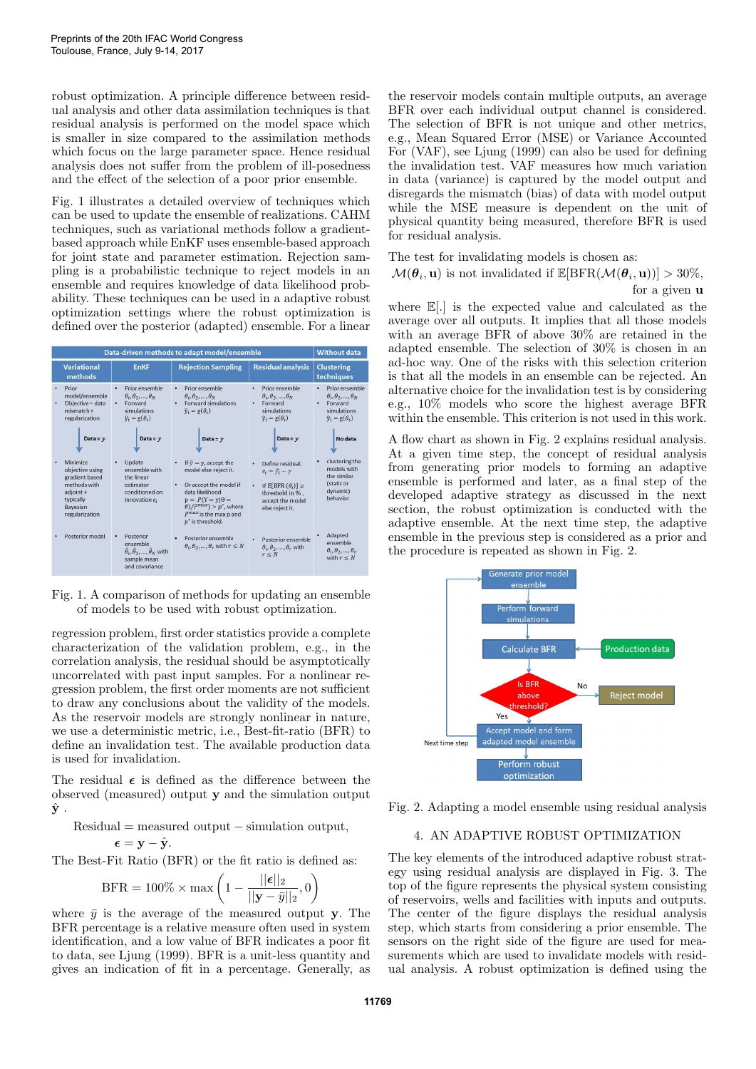robust optimization. A principle difference between residual analysis and other data assimilation techniques is that residual analysis is performed on the model space which is smaller in size compared to the assimilation methods which focus on the large parameter space. Hence residual analysis does not suffer from the problem of ill-posedness and the effect of the selection of a poor prior ensemble.

Fig. 1 illustrates a detailed overview of techniques which can be used to update the ensemble of realizations. CAHM techniques, such as variational methods follow a gradientbased approach while EnKF uses ensemble-based approach for joint state and parameter estimation. Rejection sampling is a probabilistic technique to reject models in an ensemble and requires knowledge of data likelihood probability. These techniques can be used in a adaptive robust optimization settings where the robust optimization is defined over the posterior (adapted) ensemble. For a linear

| Data-driven methods to adapt model/ensemble |                                                                                                                       |                                                                                                                                           |                                                                                                                                                                                                                                                                  |                                                                                                                                                         | <b>Without data</b>                                                                                                       |
|---------------------------------------------|-----------------------------------------------------------------------------------------------------------------------|-------------------------------------------------------------------------------------------------------------------------------------------|------------------------------------------------------------------------------------------------------------------------------------------------------------------------------------------------------------------------------------------------------------------|---------------------------------------------------------------------------------------------------------------------------------------------------------|---------------------------------------------------------------------------------------------------------------------------|
|                                             | <b>Variational</b><br>methods                                                                                         | <b>EnKF</b>                                                                                                                               | <b>Rejection Sampling</b>                                                                                                                                                                                                                                        | <b>Residual analysis</b>                                                                                                                                | <b>Clustering</b><br>techniques                                                                                           |
|                                             | Prior<br>model/ensemble<br>Objective = data<br>$mismatch +$<br>regularization<br>Data = $v$                           | Prior ensemble<br>$\bullet$<br>$\theta_i, \theta_2, , \theta_N$<br>Forward<br>٠<br>simulations<br>$\hat{y}_i = g(\theta_i)$<br>Data = $v$ | Prior ensemble<br>$\bullet$<br>$\theta_i, \theta_2, , \theta_N$<br><b>Forward simulations</b><br>٠<br>$\hat{y}_i = g(\theta_i)$<br>Data = $y$                                                                                                                    | Prior ensemble<br>٠<br>$\theta_i, \theta_2, , \theta_N$<br>Forward<br>٠<br>simulations<br>$\hat{y}_i = g(\theta_i)$<br>Data = $v$                       | Prior ensemble<br>$\theta_i, \theta_2, , \theta_N$<br>Forward<br>٠<br>simulations<br>$\hat{y}_i = g(\theta_i)$<br>No data |
|                                             | Minimize<br>objective using<br>gradient based<br>methods with<br>adioint +<br>typically<br>Bavesian<br>regularization | Update<br>٠<br>ensemble with<br>the linear<br>estimator<br>conditioned on<br>innovation $e_i$                                             | If $\hat{v} = v$ , accept the<br>$\bullet$<br>model else reject it.<br>Or accept the model if<br>٠<br>data likelihood<br>$p = P(Y = y   \theta =$<br>$\theta$ )/P <sup>max</sup> } > p <sup>*</sup> , where<br>$P^{max}$ is the max p and<br>$p^*$ is threshold. | Define residual:<br>٠<br>$e_i = \hat{v}_i - v$<br>If E[BFR $(\theta_i)$ ] $\geq$<br>$\bullet$<br>threshold in %,<br>accept the model<br>else reject it. | clustering the<br>models with<br>the similar<br>(static or<br>dynamic)<br>behavior                                        |
|                                             | Posterior model                                                                                                       | Posterior<br>٠<br>ensemble<br>$\hat{\theta}_i, \hat{\theta}_2, \dots, \hat{\theta}_N$ with<br>sample mean<br>and covariance               | Posterior ensemble<br>٠<br>$\theta_i, \theta_2, , \theta_r$ with $r \leq N$                                                                                                                                                                                      | $\bullet$<br>Posterior ensemble<br>$\theta_i, \theta_2, , \theta_r$ with<br>$r \leq N$                                                                  | Adapted<br>ensemble<br>$\theta_i, \theta_2, , \theta_r$<br>with $r < N$                                                   |

Fig. 1. A comparison of methods for updating an ensemble of models to be used with robust optimization.

regression problem, first order statistics provide a complete characterization of the validation problem, e.g., in the correlation analysis, the residual should be asymptotically uncorrelated with past input samples. For a nonlinear regression problem, the first order moments are not sufficient to draw any conclusions about the validity of the models. As the reservoir models are strongly nonlinear in nature, we use a deterministic metric, i.e., Best-fit-ratio (BFR) to define an invalidation test. The available production data is used for invalidation.

The residual  $\epsilon$  is defined as the difference between the observed (measured) output y and the simulation output  $\hat{\mathbf{y}}$ .

 $Residual = measured output - simulation output,$ 

 $\epsilon = y - \hat{y}$ .

The Best-Fit Ratio (BFR) or the fit ratio is defined as:

$$
\text{BFR} = 100\% \times \max\left(1 - \frac{||\boldsymbol{\epsilon}||_2}{||\mathbf{y} - \bar{y}||_2}, 0\right)
$$

where  $\bar{y}$  is the average of the measured output y. The BFR percentage is a relative measure often used in system identification, and a low value of BFR indicates a poor fit to data, see Ljung (1999). BFR is a unit-less quantity and gives an indication of fit in a percentage. Generally, as

the reservoir models contain multiple outputs, an average BFR over each individual output channel is considered. The selection of BFR is not unique and other metrics, e.g., Mean Squared Error (MSE) or Variance Accounted For (VAF), see Ljung (1999) can also be used for defining the invalidation test. VAF measures how much variation in data (variance) is captured by the model output and disregards the mismatch (bias) of data with model output while the MSE measure is dependent on the unit of physical quantity being measured, therefore BFR is used for residual analysis.

The test for invalidating models is chosen as:

 $\mathcal{M}(\theta_i, \mathbf{u})$  is not invalidated if  $\mathbb{E}[\text{BFR}(\mathcal{M}(\theta_i, \mathbf{u}))] > 30\%$ , for a given u

where E[.] is the expected value and calculated as the average over all outputs. It implies that all those models with an average BFR of above 30% are retained in the adapted ensemble. The selection of 30% is chosen in an ad-hoc way. One of the risks with this selection criterion is that all the models in an ensemble can be rejected. An alternative choice for the invalidation test is by considering e.g., 10% models who score the highest average BFR within the ensemble. This criterion is not used in this work.

A flow chart as shown in Fig. 2 explains residual analysis. At a given time step, the concept of residual analysis from generating prior models to forming an adaptive ensemble is performed and later, as a final step of the developed adaptive strategy as discussed in the next section, the robust optimization is conducted with the adaptive ensemble. At the next time step, the adaptive ensemble in the previous step is considered as a prior and the procedure is repeated as shown in Fig. 2.



Fig. 2. Adapting a model ensemble using residual analysis

# 4. AN ADAPTIVE ROBUST OPTIMIZATION

The key elements of the introduced adaptive robust strategy using residual analysis are displayed in Fig. 3. The top of the figure represents the physical system consisting of reservoirs, wells and facilities with inputs and outputs. The center of the figure displays the residual analysis step, which starts from considering a prior ensemble. The sensors on the right side of the figure are used for measurements which are used to invalidate models with residual analysis. A robust optimization is defined using the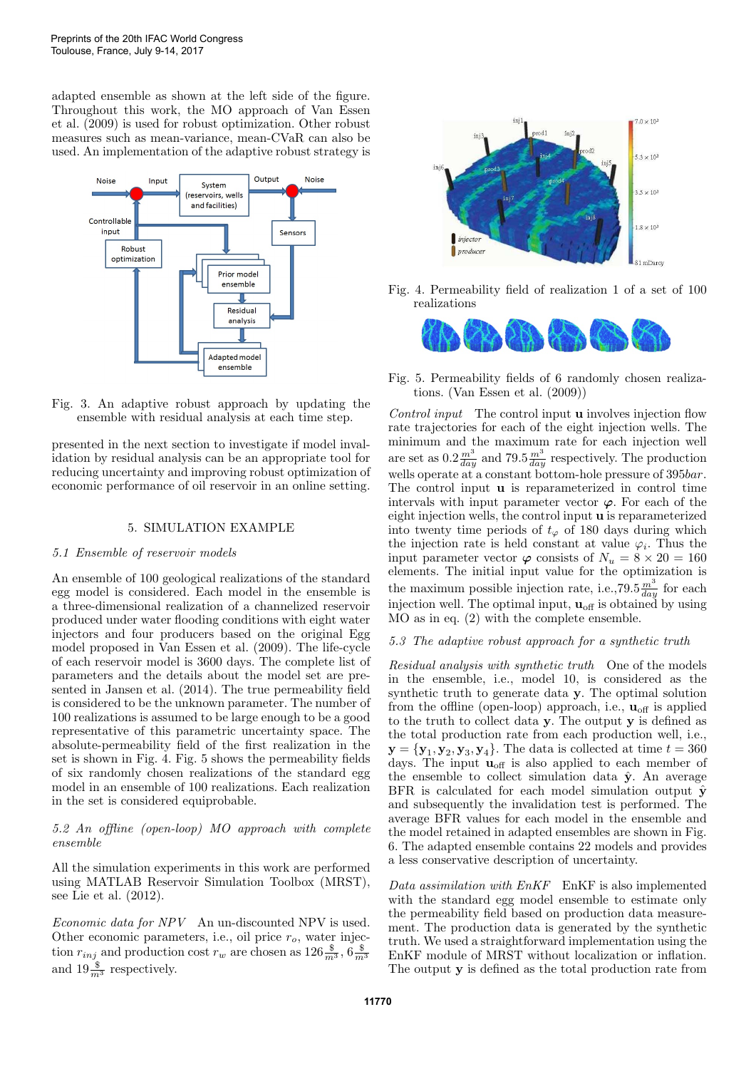adapted ensemble as shown at the left side of the figure. Throughout this work, the MO approach of Van Essen et al. (2009) is used for robust optimization. Other robust measures such as mean-variance, mean-CVaR can also be used. An implementation of the adaptive robust strategy is



Fig. 3. An adaptive robust approach by updating the ensemble with residual analysis at each time step.

presented in the next section to investigate if model invalidation by residual analysis can be an appropriate tool for reducing uncertainty and improving robust optimization of economic performance of oil reservoir in an online setting.

#### 5. SIMULATION EXAMPLE

# 5.1 Ensemble of reservoir models

An ensemble of 100 geological realizations of the standard egg model is considered. Each model in the ensemble is a three-dimensional realization of a channelized reservoir produced under water flooding conditions with eight water injectors and four producers based on the original Egg model proposed in Van Essen et al. (2009). The life-cycle of each reservoir model is 3600 days. The complete list of parameters and the details about the model set are presented in Jansen et al. (2014). The true permeability field is considered to be the unknown parameter. The number of 100 realizations is assumed to be large enough to be a good representative of this parametric uncertainty space. The absolute-permeability field of the first realization in the set is shown in Fig. 4. Fig. 5 shows the permeability fields of six randomly chosen realizations of the standard egg model in an ensemble of 100 realizations. Each realization in the set is considered equiprobable.

5.2 An offline (open-loop) MO approach with complete ensemble

All the simulation experiments in this work are performed using MATLAB Reservoir Simulation Toolbox (MRST), see Lie et al. (2012).

Economic data for NPV An un-discounted NPV is used. Other economic parameters, i.e., oil price  $r<sub>o</sub>$ , water injection  $r_{inj}$  and production cost  $r_w$  are chosen as  $126 \frac{8}{m^3}$ ,  $6 \frac{8}{m^3}$  and  $19 \frac{8}{m^3}$  respectively.



Fig. 4. Permeability field of realization 1 of a set of 100 realizations



Fig. 5. Permeability fields of 6 randomly chosen realizations. (Van Essen et al. (2009))

Control input The control input **u** involves injection flow rate trajectories for each of the eight injection wells. The minimum and the maximum rate for each injection well are set as  $0.2 \frac{m^3}{day}$  and  $79.5 \frac{m^3}{day}$  respectively. The production wells operate at a constant bottom-hole pressure of 395*bar*. The control input u is reparameterized in control time intervals with input parameter vector  $\varphi$ . For each of the eight injection wells, the control input u is reparameterized into twenty time periods of  $t_{\varphi}$  of 180 days during which the injection rate is held constant at value  $\varphi_i$ . Thus the input parameter vector  $\varphi$  consists of  $N_u = 8 \times 20 = 160$ elements. The initial input value for the optimization is the maximum possible injection rate, i.e.,  $79.5 \frac{m^3}{day}$  for each injection well. The optimal input,  $\mathbf{u}_{\text{off}}$  is obtained by using MO as in eq. (2) with the complete ensemble.

#### 5.3 The adaptive robust approach for a synthetic truth

Residual analysis with synthetic truth One of the models in the ensemble, i.e., model 10, is considered as the synthetic truth to generate data y. The optimal solution from the offline (open-loop) approach, i.e.,  $\mathbf{u}_{\text{off}}$  is applied to the truth to collect data y. The output y is defined as the total production rate from each production well, i.e.,  $\mathbf{y} = {\mathbf{y}_1, \mathbf{y}_2, \mathbf{y}_3, \mathbf{y}_4}$ . The data is collected at time  $t = 360$ days. The input  $\mathbf{u}_{\text{off}}$  is also applied to each member of the ensemble to collect simulation data  $\hat{y}$ . An average BFR is calculated for each model simulation output  $\hat{\mathbf{v}}$ and subsequently the invalidation test is performed. The average BFR values for each model in the ensemble and the model retained in adapted ensembles are shown in Fig. 6. The adapted ensemble contains 22 models and provides a less conservative description of uncertainty.

Data assimilation with EnKF EnKF is also implemented with the standard egg model ensemble to estimate only the permeability field based on production data measurement. The production data is generated by the synthetic truth. We used a straightforward implementation using the EnKF module of MRST without localization or inflation. The output y is defined as the total production rate from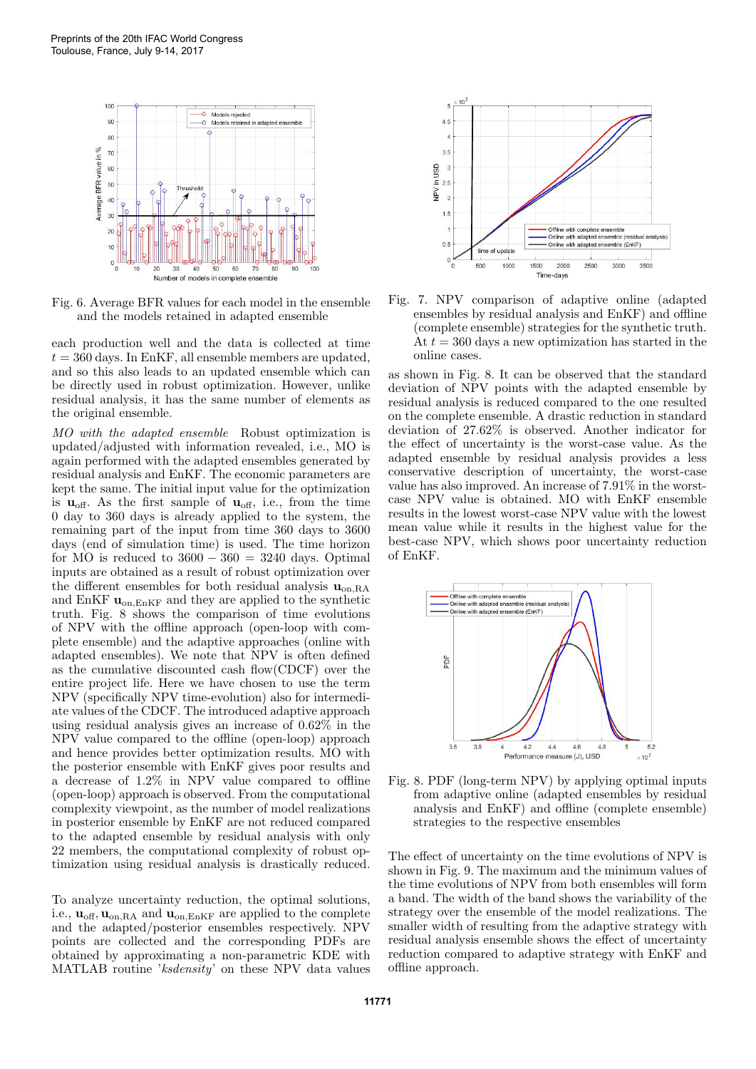

Fig. 6. Average BFR values for each model in the ensemble and the models retained in adapted ensemble

each production well and the data is collected at time  $t = 360$  days. In EnKF, all ensemble members are updated, and so this also leads to an updated ensemble which can be directly used in robust optimization. However, unlike residual analysis, it has the same number of elements as the original ensemble.

MO with the adapted ensemble Robust optimization is updated/adjusted with information revealed, i.e., MO is again performed with the adapted ensembles generated by residual analysis and EnKF. The economic parameters are kept the same. The initial input value for the optimization is  $\mathbf{u}_{\text{off}}$ . As the first sample of  $\mathbf{u}_{\text{off}}$ , i.e., from the time 0 day to 360 days is already applied to the system, the remaining part of the input from time 360 days to 3600 days (end of simulation time) is used. The time horizon for MO is reduced to  $3600 - 360 = 3240$  days. Optimal inputs are obtained as a result of robust optimization over the different ensembles for both residual analysis  $\mathbf{u}_{on,RA}$ and EnKF  $\mathbf{u}_{on,EnKF}$  and they are applied to the synthetic truth. Fig. 8 shows the comparison of time evolutions of NPV with the offline approach (open-loop with complete ensemble) and the adaptive approaches (online with adapted ensembles). We note that NPV is often defined as the cumulative discounted cash flow(CDCF) over the entire project life. Here we have chosen to use the term NPV (specifically NPV time-evolution) also for intermediate values of the CDCF. The introduced adaptive approach using residual analysis gives an increase of 0.62% in the NPV value compared to the offline (open-loop) approach and hence provides better optimization results. MO with the posterior ensemble with EnKF gives poor results and a decrease of 1.2% in NPV value compared to offline (open-loop) approach is observed. From the computational complexity viewpoint, as the number of model realizations in posterior ensemble by EnKF are not reduced compared to the adapted ensemble by residual analysis with only 22 members, the computational complexity of robust optimization using residual analysis is drastically reduced.

To analyze uncertainty reduction, the optimal solutions, i.e.,  $\mathbf{u}_{\text{off}}, \mathbf{u}_{\text{on},\text{RA}}$  and  $\mathbf{u}_{\text{on},\text{EnKF}}$  are applied to the complete and the adapted/posterior ensembles respectively. NPV points are collected and the corresponding PDFs are obtained by approximating a non-parametric KDE with MATLAB routine 'ksdensity' on these NPV data values



Fig. 7. NPV comparison of adaptive online (adapted ensembles by residual analysis and EnKF) and offline (complete ensemble) strategies for the synthetic truth. At  $t = 360$  days a new optimization has started in the online cases.

as shown in Fig. 8. It can be observed that the standard deviation of NPV points with the adapted ensemble by residual analysis is reduced compared to the one resulted on the complete ensemble. A drastic reduction in standard deviation of 27.62% is observed. Another indicator for the effect of uncertainty is the worst-case value. As the adapted ensemble by residual analysis provides a less conservative description of uncertainty, the worst-case value has also improved. An increase of 7.91% in the worstcase NPV value is obtained. MO with EnKF ensemble results in the lowest worst-case NPV value with the lowest mean value while it results in the highest value for the best-case NPV, which shows poor uncertainty reduction of EnKF.



Fig. 8. PDF (long-term NPV) by applying optimal inputs from adaptive online (adapted ensembles by residual analysis and EnKF) and offline (complete ensemble) strategies to the respective ensembles

The effect of uncertainty on the time evolutions of NPV is shown in Fig. 9. The maximum and the minimum values of the time evolutions of NPV from both ensembles will form a band. The width of the band shows the variability of the strategy over the ensemble of the model realizations. The smaller width of resulting from the adaptive strategy with residual analysis ensemble shows the effect of uncertainty reduction compared to adaptive strategy with EnKF and offline approach.